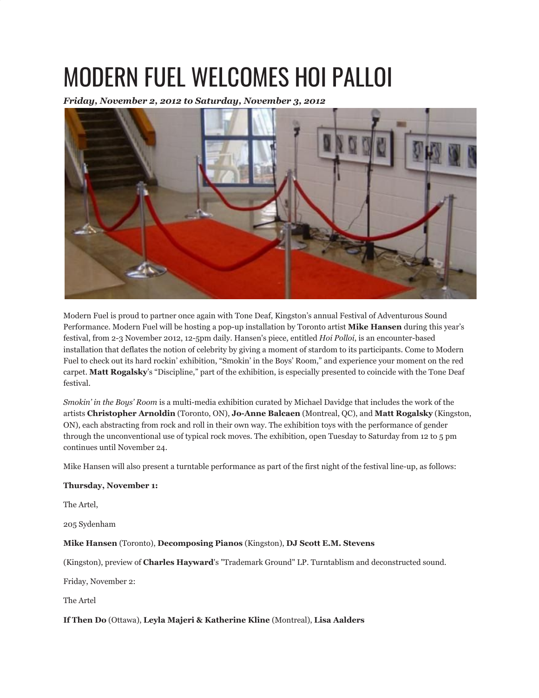## MODERN FUEL WELCOMES HOI PALLOI

*Friday, November 2, 2012 to Saturday, November 3, 2012*



Modern Fuel is proud to partner once again with Tone Deaf, Kingston's annual Festival of Adventurous Sound Performance. Modern Fuel will be hosting a pop-up installation by Toronto artist **Mike Hansen** during this year's festival, from 2-3 November 2012, 12-5pm daily. Hansen's piece, entitled *Hoi Polloi*, is an encounter-based installation that deflates the notion of celebrity by giving a moment of stardom to its participants. Come to Modern Fuel to check out its hard rockin' exhibition, "Smokin' in the Boys' Room," and experience your moment on the red carpet. **Matt Rogalsky**'s "Discipline," part of the exhibition, is especially presented to coincide with the Tone Deaf festival.

*Smokin' in the Boys' Room* is a multi-media exhibition curated by Michael Davidge that includes the work of the artists **Christopher Arnoldin** (Toronto, ON), **Jo-Anne Balcaen** (Montreal, QC), and **Matt Rogalsky** (Kingston, ON), each abstracting from rock and roll in their own way. The exhibition toys with the performance of gender through the unconventional use of typical rock moves. The exhibition, open Tuesday to Saturday from 12 to 5 pm continues until November 24.

Mike Hansen will also present a turntable performance as part of the first night of the festival line-up, as follows:

## **Thursday, November 1:**

The Artel,

205 Sydenham

**Mike Hansen** (Toronto), **Decomposing Pianos** (Kingston), **DJ Scott E.M. Stevens**

(Kingston), preview of **Charles Hayward**'s "Trademark Ground" LP. Turntablism and deconstructed sound.

Friday, November 2:

The Artel

## **If Then Do** (Ottawa), **Leyla Majeri & Katherine Kline** (Montreal), **Lisa Aalders**